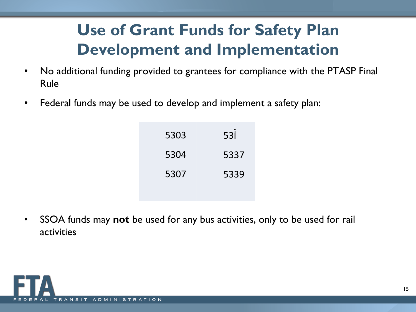## **Use of Grant Funds for Safety Plan Development and Implementation**

- No additional funding provided to grantees for compliance with the PTASP Final  $\bullet$ Rule
- Federal funds may be used to develop and implement a safety plan:  $\bullet$

|            | 5303 | $\pm$      | $53$ $\tilde{D}$ |
|------------|------|------------|------------------|
| $\ddagger$ | 5304 | $\ddagger$ | 5337             |
| $\pm$      | 5307 | $\pm$      | 5339             |
|            |      |            |                  |

SSOA funds may not be used for any bus activities, only to be used for rail  $\bullet$ activities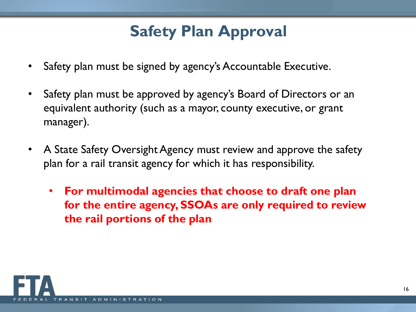### **Safety Plan Approval**

- Safety plan must be signed by agency's Accountable Executive.
- Safety plan must be approved by agency's Board of Directors or an equivalent authority (such as a mayor, county executive, or grant manager).
- A State Safety Oversight Agency must review and approve the safety plan for a rail transit agency for which it has responsibility.
	- **For multimodal agencies that choose to draft one plan for the entire agency, SSOAs are only required to review the rail portions of the plan**

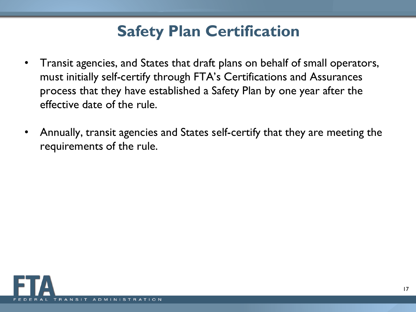## **Safety Plan Certification**

- Transit agencies, and States that draft plans on behalf of small operators, must initially self-certify through FTA's Certifications and Assurances process that they have established a Safety Plan by one year after the effective date of the rule.
- Annually, transit agencies and States self-certify that they are meeting the requirements of the rule.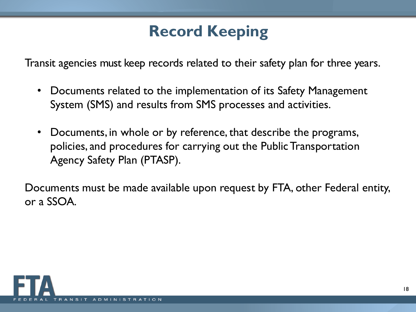## **Record Keeping**

Transit agencies must keep records related to their safety plan for three years.

- Documents related to the implementation of its Safety Management System (SMS) and results from SMS processes and activities.
- Documents, in whole or by reference, that describe the programs, policies, and procedures for carrying out the Public Transportation Agency Safety Plan (PTASP).

Documents must be made available upon request by FTA, other Federal entity, or a SSOA.

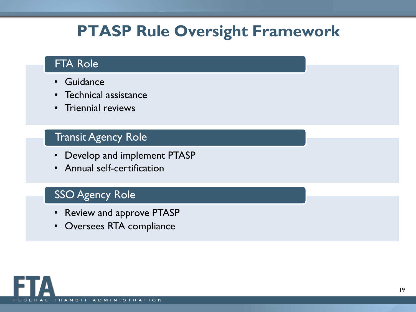### **PTASP Rule Oversight Framework**

### FTA Role

- **Guidance**
- Technical assistance
- Triennial reviews

### **Transit Agency Role**

- Develop and implement PTASP
- Annual self-certification

### SSO Agency Role

- Review and approve PTASP
- Oversees RTA compliance

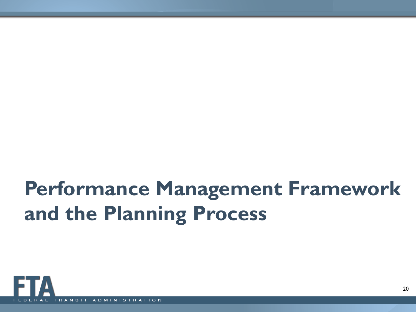# **Performance Management Framework and the Planning Process**

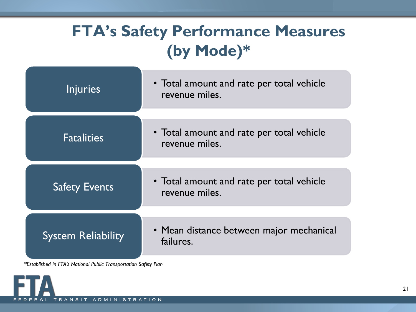## **FTA's Safety Performance Measures (by Mode)\***

| <b>Injuries</b>           | • Total amount and rate per total vehicle<br>revenue miles. |
|---------------------------|-------------------------------------------------------------|
| <b>Fatalities</b>         | • Total amount and rate per total vehicle<br>revenue miles. |
| <b>Safety Events</b>      | • Total amount and rate per total vehicle<br>revenue miles. |
| <b>System Reliability</b> | • Mean distance between major mechanical<br>failures.       |

*\*Established in FTA's National Public Transportation Safety Plan*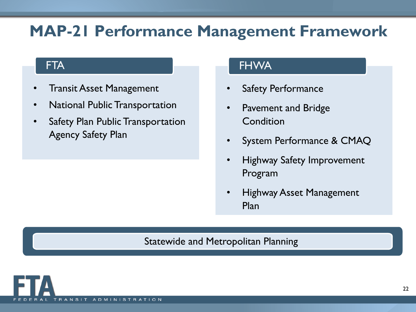### **MAP-21 Performance Management Framework**

### **FTA**

- **Transit Asset Management**
- National Public Transportation
- Safety Plan Public Transportation Agency Safety Plan

#### FHWA

- **Safety Performance**
- Pavement and Bridge **Condition**
- System Performance & CMAQ
- Highway Safety Improvement Program
- Highway Asset Management Plan

#### Statewide and Metropolitan Planning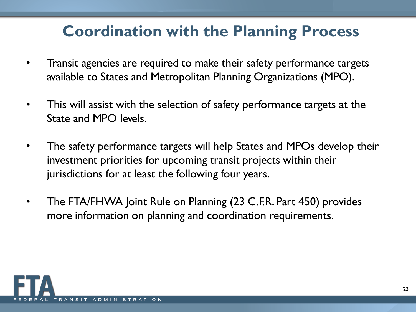## **Coordination with the Planning Process**

- Transit agencies are required to make their safety performance targets available to States and Metropolitan Planning Organizations (MPO).
- This will assist with the selection of safety performance targets at the State and MPO levels.
- The safety performance targets will help States and MPOs develop their investment priorities for upcoming transit projects within their jurisdictions for at least the following four years.
- The FTA/FHWA Joint Rule on Planning (23 C.F.R. Part 450) provides more information on planning and coordination requirements.

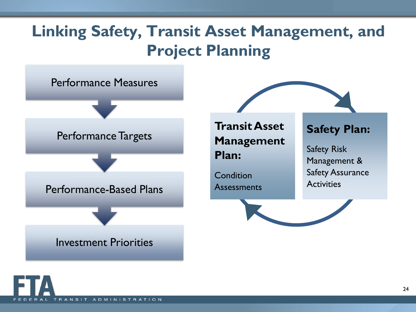### **Linking Safety, Transit Asset Management, and Project Planning**

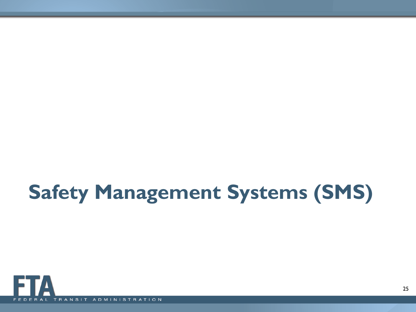# **Safety Management Systems (SMS)**

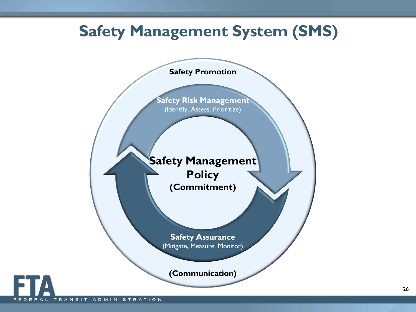### **Safety Management System (SMS)**

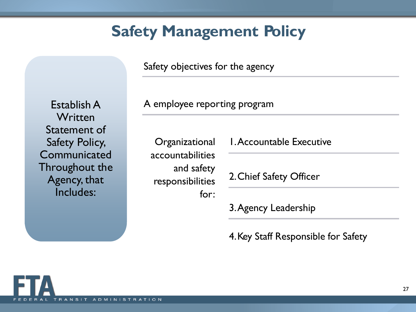### **Safety Management Policy**

Safety objectives for the agency

A employee reporting program

**Organizational** accountabilities and safety responsibilities for: 1.Accountable Executive

2.Chief Safety Officer

3.Agency Leadership

4.Key Staff Responsible for Safety

 $N$   $S$   $I$ 

ADMINISTRATI

Establish A

**Written** 

Statement of

Safety Policy, **Communicated** 

Throughout the

Agency, that Includes: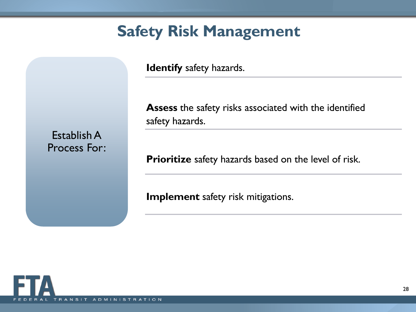### **Safety Risk Management**

**Identify** safety hazards.

**Assess** the safety risks associated with the identified safety hazards.

Establish A Process For:

**Prioritize** safety hazards based on the level of risk.

**Implement** safety risk mitigations.

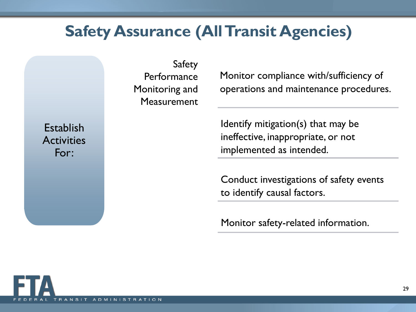### **Safety Assurance (All Transit Agencies)**

Safety **Performance** Monitoring and Measurement

Monitor compliance with/sufficiency of operations and maintenance procedures.

Identify mitigation(s) that may be ineffective, inappropriate, or not implemented as intended.

Conduct investigations of safety events to identify causal factors.

Monitor safety-related information.

**Establish Activities** For: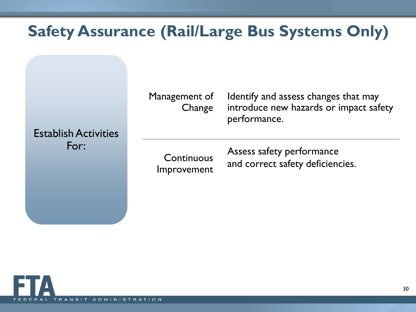## **Safety Assurance (Rail/Large Bus Systems Only)**

Management of **Change** 

Identify and assess changes that may introduce new hazards or impact safety performance.

Establish Activities For:

Improvement

Assess safety performance Continuous and correct safety deficiencies.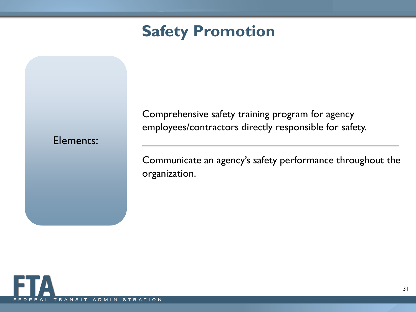### **Safety Promotion**

### Elements:

Comprehensive safety training program for agency employees/contractors directly responsible for safety.

Communicate an agency's safety performance throughout the organization.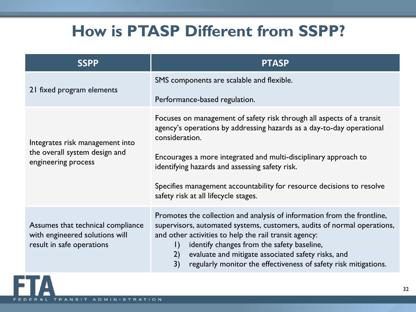### **How is PTASP Different from SSPP?**

| <b>SSPP</b>                                                                                      | <b>PTASP</b>                                                                                                                                                                                                                                                                                                                                                                                           |
|--------------------------------------------------------------------------------------------------|--------------------------------------------------------------------------------------------------------------------------------------------------------------------------------------------------------------------------------------------------------------------------------------------------------------------------------------------------------------------------------------------------------|
| 21 fixed program elements                                                                        | SMS components are scalable and flexible.<br>Performance-based regulation.                                                                                                                                                                                                                                                                                                                             |
| Integrates risk management into<br>the overall system design and<br>engineering process          | Focuses on management of safety risk through all aspects of a transit<br>agency's operations by addressing hazards as a day-to-day operational<br>consideration.<br>Encourages a more integrated and multi-disciplinary approach to<br>identifying hazards and assessing safety risk.<br>Specifies management accountability for resource decisions to resolve<br>safety risk at all lifecycle stages. |
|                                                                                                  | Promotes the collection and analysis of information from the frontline,                                                                                                                                                                                                                                                                                                                                |
| Assumes that technical compliance<br>with engineered solutions will<br>result in safe operations | supervisors, automated systems, customers, audits of normal operations,<br>and other activities to help the rail transit agency:<br>identify changes from the safety baseline,<br>$\vert$ )<br>evaluate and mitigate associated safety risks, and<br>2)<br>3)<br>regularly monitor the effectiveness of safety risk mitigations.                                                                       |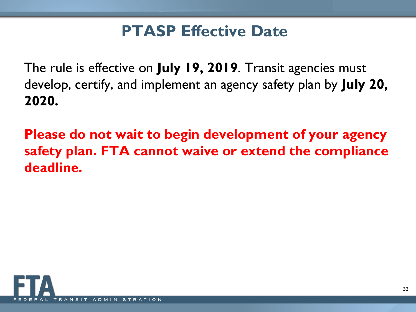### **PTASP Effective Date**

The rule is effective on **July 19, 2019**. Transit agencies must develop, certify, and implement an agency safety plan by **July 20, 2020.**

**Please do not wait to begin development of your agency safety plan. FTA cannot waive or extend the compliance deadline.** 

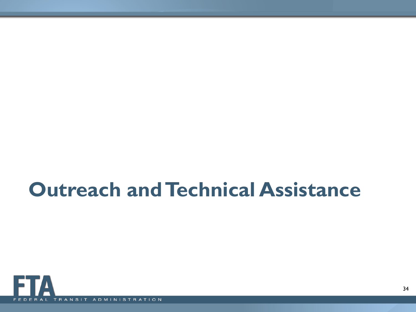## **Outreach and Technical Assistance**

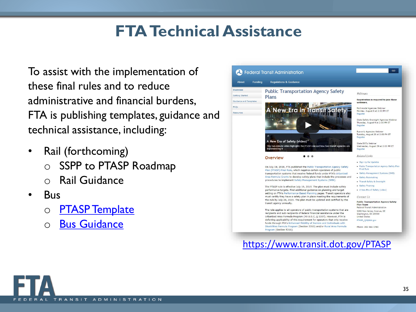### **FTA Technical Assistance**

To assist with the implementation of these final rules and to reduce administrative and financial burdens, FTA is publishing templates, guidance and technical assistance, including:

- Rail (forthcoming) o SSPP to PTASP Roadmap
	- **Rail Guidance**
- Bus
	- **[PTASP Template](https://www.transit.dot.gov/regulations-and-guidance/safety/public-transportation-agency-safety-program/ptasp-template-bus-0)**
	- o [Bus Guidance](https://www.transit.dot.gov/regulations-and-guidance/safety/public-transportation-agency-safety-program/ptasp-template-bus-0)



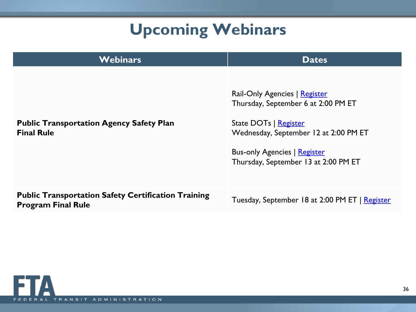## **Upcoming Webinars**

| <b>Webinars</b>                                                                         | <b>Dates</b>                                                                                                                                                                                                          |
|-----------------------------------------------------------------------------------------|-----------------------------------------------------------------------------------------------------------------------------------------------------------------------------------------------------------------------|
| <b>Public Transportation Agency Safety Plan</b><br><b>Final Rule</b>                    | Rail-Only Agencies   Register<br>Thursday, September 6 at 2:00 PM ET<br>State DOTs   Register<br>Wednesday, September 12 at 2:00 PM ET<br><b>Bus-only Agencies   Register</b><br>Thursday, September 13 at 2:00 PM ET |
| <b>Public Transportation Safety Certification Training</b><br><b>Program Final Rule</b> | Tuesday, September 18 at 2:00 PM ET   Register                                                                                                                                                                        |